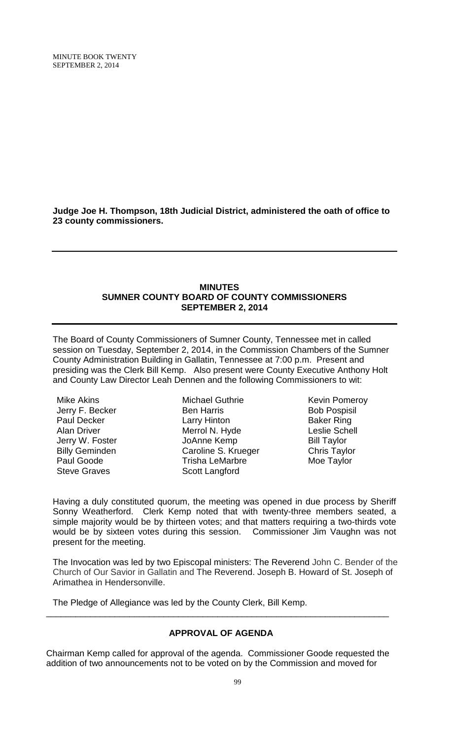MINUTE BOOK TWENTY SEPTEMBER 2, 2014

**Judge Joe H. Thompson, 18th Judicial District, administered the oath of office to 23 county commissioners.**

#### **MINUTES SUMNER COUNTY BOARD OF COUNTY COMMISSIONERS SEPTEMBER 2, 2014**

The Board of County Commissioners of Sumner County, Tennessee met in called session on Tuesday, September 2, 2014, in the Commission Chambers of the Sumner County Administration Building in Gallatin, Tennessee at 7:00 p.m. Present and presiding was the Clerk Bill Kemp. Also present were County Executive Anthony Holt and County Law Director Leah Dennen and the following Commissioners to wit:

Mike Akins Jerry F. Becker Paul Decker Alan Driver Jerry W. Foster Billy Geminden Paul Goode Steve Graves

Michael Guthrie Ben Harris Larry Hinton Merrol N. Hyde JoAnne Kemp Caroline S. Krueger Trisha LeMarbre Scott Langford

Kevin Pomeroy Bob Pospisil Baker Ring Leslie Schell Bill Taylor Chris Taylor Moe Taylor

Having a duly constituted quorum, the meeting was opened in due process by Sheriff Sonny Weatherford. Clerk Kemp noted that with twenty-three members seated, a simple majority would be by thirteen votes; and that matters requiring a two-thirds vote would be by sixteen votes during this session. Commissioner Jim Vaughn was not present for the meeting.

The Invocation was led by two Episcopal ministers: The Reverend John C. Bender of the Church of Our Savior in Gallatin and The Reverend. Joseph B. Howard of St. Joseph of Arimathea in Hendersonville.

The Pledge of Allegiance was led by the County Clerk, Bill Kemp.

### **APPROVAL OF AGENDA**

\_\_\_\_\_\_\_\_\_\_\_\_\_\_\_\_\_\_\_\_\_\_\_\_\_\_\_\_\_\_\_\_\_\_\_\_\_\_\_\_\_\_\_\_\_\_\_\_\_\_\_\_\_\_\_\_\_\_\_\_\_\_\_\_\_\_\_\_\_\_

Chairman Kemp called for approval of the agenda. Commissioner Goode requested the addition of two announcements not to be voted on by the Commission and moved for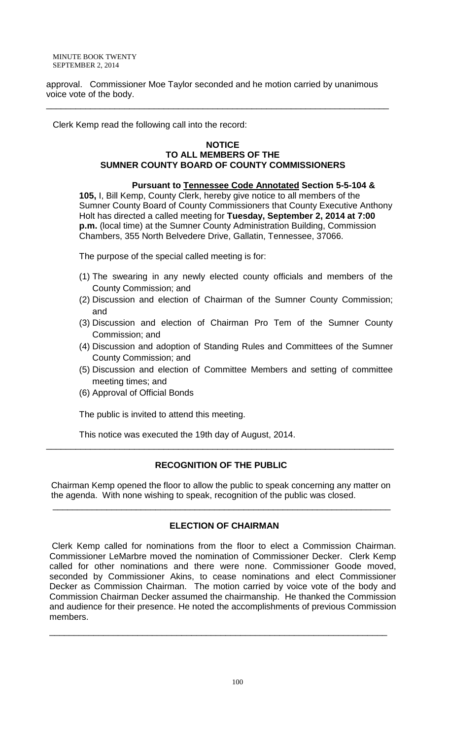MINUTE BOOK TWENTY SEPTEMBER 2, 2014

approval.Commissioner Moe Taylor seconded and he motion carried by unanimous voice vote of the body.

\_\_\_\_\_\_\_\_\_\_\_\_\_\_\_\_\_\_\_\_\_\_\_\_\_\_\_\_\_\_\_\_\_\_\_\_\_\_\_\_\_\_\_\_\_\_\_\_\_\_\_\_\_\_\_\_\_\_\_\_\_\_\_\_\_\_\_\_\_\_

Clerk Kemp read the following call into the record:

#### **NOTICE TO ALL MEMBERS OF THE SUMNER COUNTY BOARD OF COUNTY COMMISSIONERS**

**Pursuant to Tennessee Code Annotated Section 5-5-104 & 105,** I, Bill Kemp, County Clerk, hereby give notice to all members of the Sumner County Board of County Commissioners that County Executive Anthony Holt has directed a called meeting for **Tuesday, September 2, 2014 at 7:00 p.m.** (local time) at the Sumner County Administration Building, Commission Chambers, 355 North Belvedere Drive, Gallatin, Tennessee, 37066.

The purpose of the special called meeting is for:

- (1) The swearing in any newly elected county officials and members of the County Commission; and
- (2) Discussion and election of Chairman of the Sumner County Commission; and
- (3) Discussion and election of Chairman Pro Tem of the Sumner County Commission; and
- (4) Discussion and adoption of Standing Rules and Committees of the Sumner County Commission; and
- (5) Discussion and election of Committee Members and setting of committee meeting times; and
- (6) Approval of Official Bonds

The public is invited to attend this meeting.

This notice was executed the 19th day of August, 2014.

### **RECOGNITION OF THE PUBLIC**

\_\_\_\_\_\_\_\_\_\_\_\_\_\_\_\_\_\_\_\_\_\_\_\_\_\_\_\_\_\_\_\_\_\_\_\_\_\_\_\_\_\_\_\_\_\_\_\_\_\_\_\_\_\_\_\_\_\_\_\_\_\_\_\_\_\_\_\_\_\_\_

 Chairman Kemp opened the floor to allow the public to speak concerning any matter on the agenda. With none wishing to speak, recognition of the public was closed.

\_\_\_\_\_\_\_\_\_\_\_\_\_\_\_\_\_\_\_\_\_\_\_\_\_\_\_\_\_\_\_\_\_\_\_\_\_\_\_\_\_\_\_\_\_\_\_\_\_\_\_\_\_\_\_\_\_\_\_\_\_\_\_\_\_\_\_\_\_

### **ELECTION OF CHAIRMAN**

Clerk Kemp called for nominations from the floor to elect a Commission Chairman. Commissioner LeMarbre moved the nomination of Commissioner Decker. Clerk Kemp called for other nominations and there were none. Commissioner Goode moved, seconded by Commissioner Akins, to cease nominations and elect Commissioner Decker as Commission Chairman. The motion carried by voice vote of the body and Commission Chairman Decker assumed the chairmanship. He thanked the Commission and audience for their presence. He noted the accomplishments of previous Commission members.

\_\_\_\_\_\_\_\_\_\_\_\_\_\_\_\_\_\_\_\_\_\_\_\_\_\_\_\_\_\_\_\_\_\_\_\_\_\_\_\_\_\_\_\_\_\_\_\_\_\_\_\_\_\_\_\_\_\_\_\_\_\_\_\_\_\_\_\_\_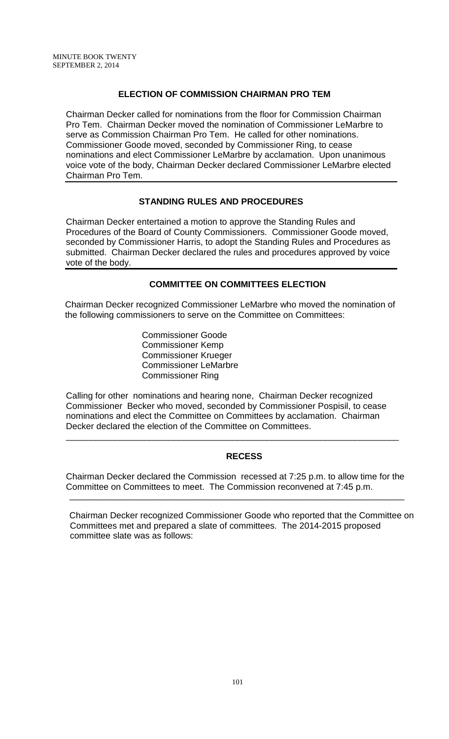#### **ELECTION OF COMMISSION CHAIRMAN PRO TEM**

Chairman Decker called for nominations from the floor for Commission Chairman Pro Tem. Chairman Decker moved the nomination of Commissioner LeMarbre to serve as Commission Chairman Pro Tem. He called for other nominations. Commissioner Goode moved, seconded by Commissioner Ring, to cease nominations and elect Commissioner LeMarbre by acclamation. Upon unanimous voice vote of the body, Chairman Decker declared Commissioner LeMarbre elected Chairman Pro Tem.

### **STANDING RULES AND PROCEDURES**

Chairman Decker entertained a motion to approve the Standing Rules and Procedures of the Board of County Commissioners. Commissioner Goode moved, seconded by Commissioner Harris, to adopt the Standing Rules and Procedures as submitted. Chairman Decker declared the rules and procedures approved by voice vote of the body.

### **COMMITTEE ON COMMITTEES ELECTION**

Chairman Decker recognized Commissioner LeMarbre who moved the nomination of the following commissioners to serve on the Committee on Committees:

> Commissioner Goode Commissioner Kemp Commissioner Krueger Commissioner LeMarbre Commissioner Ring

Calling for other nominations and hearing none, Chairman Decker recognized Commissioner Becker who moved, seconded by Commissioner Pospisil, to cease nominations and elect the Committee on Committees by acclamation. Chairman Decker declared the election of the Committee on Committees.

\_\_\_\_\_\_\_\_\_\_\_\_\_\_\_\_\_\_\_\_\_\_\_\_\_\_\_\_\_\_\_\_\_\_\_\_\_\_\_\_\_\_\_\_\_\_\_\_\_\_\_\_\_\_\_\_\_\_\_\_\_\_\_\_\_\_\_\_

### **RECESS**

Chairman Decker declared the Commission recessed at 7:25 p.m. to allow time for the Committee on Committees to meet. The Commission reconvened at 7:45 p.m.

**\_\_\_\_\_\_\_\_\_\_\_\_\_\_\_\_\_\_\_\_\_\_\_\_\_\_\_\_\_\_\_\_\_\_\_\_\_\_\_\_\_\_\_\_\_\_\_\_\_\_\_\_\_\_\_\_\_\_\_\_\_\_\_\_\_\_\_\_\_\_\_\_\_\_\_\_\_\_\_\_\_\_\_**

Chairman Decker recognized Commissioner Goode who reported that the Committee on Committees met and prepared a slate of committees. The 2014-2015 proposed committee slate was as follows: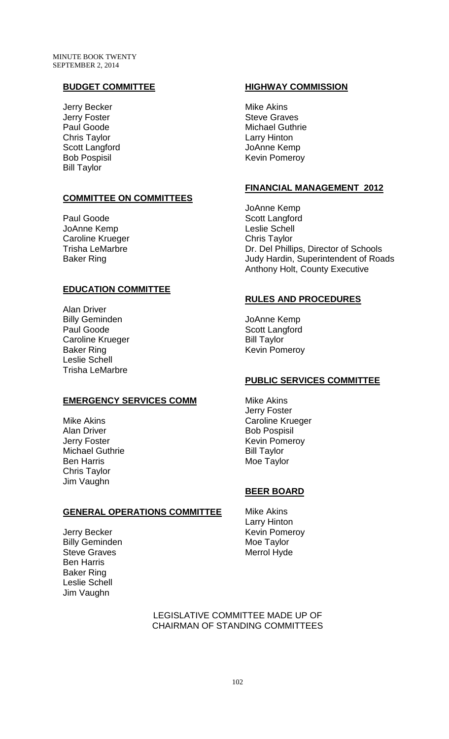## **BUDGET COMMITTEE**

Jerry Becker Jerry Foster Paul Goode Chris Taylor Scott Langford Bob Pospisil Bill Taylor

### **COMMITTEE ON COMMITTEES**

Paul Goode JoAnne Kemp Caroline Krueger Trisha LeMarbre Baker Ring

### **EDUCATION COMMITTEE**

Alan Driver Billy Geminden Paul Goode Caroline Krueger Baker Ring Leslie Schell Trisha LeMarbre

### **EMERGENCY SERVICES COMM**

Mike Akins Alan Driver Jerry Foster Michael Guthrie Ben Harris Chris Taylor Jim Vaughn

### **GENERAL OPERATIONS COMMITTEE**

Jerry Becker Billy Geminden Steve Graves Ben Harris Baker Ring Leslie Schell Jim Vaughn

#### **HIGHWAY COMMISSION**

Mike Akins Steve Graves Michael Guthrie Larry Hinton JoAnne Kemp Kevin Pomeroy

#### **FINANCIAL MANAGEMENT 2012**

JoAnne Kemp Scott Langford Leslie Schell Chris Taylor Dr. Del Phillips, Director of Schools Judy Hardin, Superintendent of Roads Anthony Holt, County Executive

#### **RULES AND PROCEDURES**

JoAnne Kemp Scott Langford Bill Taylor Kevin Pomeroy

### **PUBLIC SERVICES COMMITTEE**

Mike Akins Jerry Foster Caroline Krueger Bob Pospisil Kevin Pomeroy Bill Taylor Moe Taylor

### **BEER BOARD**

Mike Akins Larry Hinton Kevin Pomeroy Moe Taylor Merrol Hyde

LEGISLATIVE COMMITTEE MADE UP OF CHAIRMAN OF STANDING COMMITTEES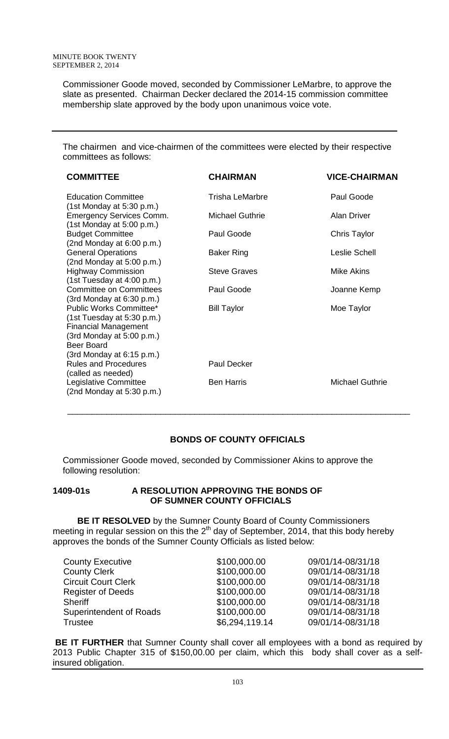Commissioner Goode moved, seconded by Commissioner LeMarbre, to approve the slate as presented. Chairman Decker declared the 2014-15 commission committee membership slate approved by the body upon unanimous voice vote.

The chairmen and vice-chairmen of the committees were elected by their respective committees as follows:

| <b>COMMITTEE</b>                                                                                                                                                        | <b>CHAIRMAN</b>        | <b>VICE-CHAIRMAN</b>   |
|-------------------------------------------------------------------------------------------------------------------------------------------------------------------------|------------------------|------------------------|
| <b>Education Committee</b><br>$(1st$ Monday at 5:30 p.m.)                                                                                                               | <b>Trisha LeMarbre</b> | Paul Goode             |
| <b>Emergency Services Comm.</b><br>$(1st$ Monday at 5:00 p.m.)                                                                                                          | <b>Michael Guthrie</b> | <b>Alan Driver</b>     |
| <b>Budget Committee</b><br>(2nd Monday at 6:00 p.m.)                                                                                                                    | Paul Goode             | Chris Taylor           |
| <b>General Operations</b><br>(2nd Monday at 5:00 p.m.)                                                                                                                  | Baker Ring             | Leslie Schell          |
| <b>Highway Commission</b><br>(1st Tuesday at 4:00 p.m.)                                                                                                                 | <b>Steve Graves</b>    | Mike Akins             |
| <b>Committee on Committees</b><br>(3rd Monday at 6:30 p.m.)                                                                                                             | Paul Goode             | Joanne Kemp            |
| Public Works Committee*<br>(1st Tuesday at 5:30 p.m.)<br><b>Financial Management</b><br>$(3rd$ Monday at 5:00 p.m.)<br><b>Beer Board</b><br>$(3rd$ Monday at 6:15 p.m.) | <b>Bill Taylor</b>     | Moe Taylor             |
| <b>Rules and Procedures</b><br>(called as needed)                                                                                                                       | <b>Paul Decker</b>     |                        |
| Legislative Committee<br>$(2nd$ Monday at 5:30 p.m.)                                                                                                                    | <b>Ben Harris</b>      | <b>Michael Guthrie</b> |

# **BONDS OF COUNTY OFFICIALS**

 $\frac{1}{\sqrt{2}}$  ,  $\frac{1}{\sqrt{2}}$  ,  $\frac{1}{\sqrt{2}}$  ,  $\frac{1}{\sqrt{2}}$  ,  $\frac{1}{\sqrt{2}}$  ,  $\frac{1}{\sqrt{2}}$  ,  $\frac{1}{\sqrt{2}}$  ,  $\frac{1}{\sqrt{2}}$  ,  $\frac{1}{\sqrt{2}}$  ,  $\frac{1}{\sqrt{2}}$  ,  $\frac{1}{\sqrt{2}}$  ,  $\frac{1}{\sqrt{2}}$  ,  $\frac{1}{\sqrt{2}}$  ,  $\frac{1}{\sqrt{2}}$  ,  $\frac{1}{\sqrt{2}}$ 

Commissioner Goode moved, seconded by Commissioner Akins to approve the following resolution:

#### **1409-01s A RESOLUTION APPROVING THE BONDS OF OF SUMNER COUNTY OFFICIALS**

 **BE IT RESOLVED** by the Sumner County Board of County Commissioners meeting in regular session on this the  $2<sup>th</sup>$  day of September, 2014, that this body hereby approves the bonds of the Sumner County Officials as listed below:

| <b>County Executive</b>    | \$100,000.00   | 09/01/14-08/31/18 |
|----------------------------|----------------|-------------------|
| <b>County Clerk</b>        | \$100,000.00   | 09/01/14-08/31/18 |
| <b>Circuit Court Clerk</b> | \$100,000.00   | 09/01/14-08/31/18 |
| <b>Register of Deeds</b>   | \$100,000.00   | 09/01/14-08/31/18 |
| <b>Sheriff</b>             | \$100,000.00   | 09/01/14-08/31/18 |
| Superintendent of Roads    | \$100,000.00   | 09/01/14-08/31/18 |
| <b>Trustee</b>             | \$6,294,119.14 | 09/01/14-08/31/18 |

**BE IT FURTHER** that Sumner County shall cover all employees with a bond as required by 2013 Public Chapter 315 of \$150,00.00 per claim, which this body shall cover as a selfinsured obligation.